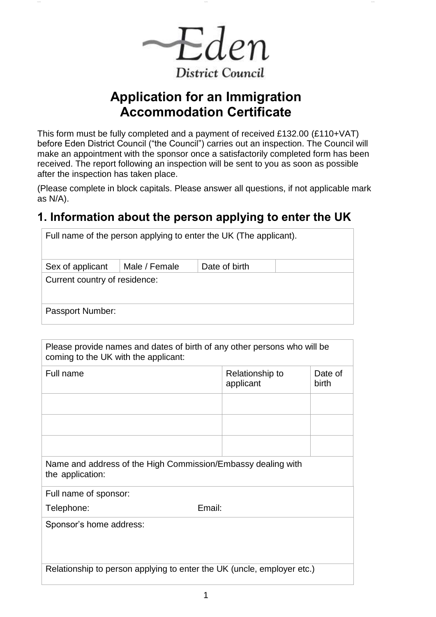Eden **District Council** 

# **Application for an Immigration Accommodation Certificate**

This form must be fully completed and a payment of received £132.00 (£110+VAT) before Eden District Council ("the Council") carries out an inspection. The Council will make an appointment with the sponsor once a satisfactorily completed form has been received. The report following an inspection will be sent to you as soon as possible after the inspection has taken place.

(Please complete in block capitals. Please answer all questions, if not applicable mark as N/A).

## **1. Information about the person applying to enter the UK**

| Full name of the person applying to enter the UK (The applicant). |  |  |  |
|-------------------------------------------------------------------|--|--|--|
| Male / Female<br>Date of birth<br>Sex of applicant                |  |  |  |
| Current country of residence:                                     |  |  |  |
| Passport Number:                                                  |  |  |  |

| Please provide names and dates of birth of any other persons who will be<br>coming to the UK with the applicant: |                              |                  |
|------------------------------------------------------------------------------------------------------------------|------------------------------|------------------|
| Full name                                                                                                        | Relationship to<br>applicant | Date of<br>birth |
|                                                                                                                  |                              |                  |
|                                                                                                                  |                              |                  |
|                                                                                                                  |                              |                  |
| Name and address of the High Commission/Embassy dealing with<br>the application:                                 |                              |                  |
| Full name of sponsor:                                                                                            |                              |                  |
| Telephone:                                                                                                       | Email:                       |                  |
| Sponsor's home address:                                                                                          |                              |                  |
| Relationship to person applying to enter the UK (uncle, employer etc.)                                           |                              |                  |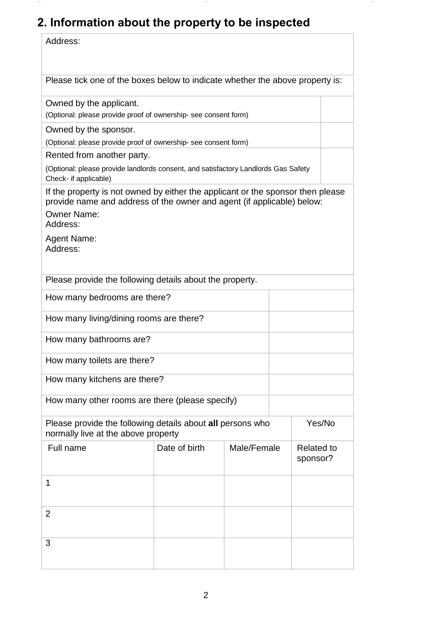# **2. Information about the property to be inspected**

| Address:                                                                                                                                                                                                               |               |             |                               |        |
|------------------------------------------------------------------------------------------------------------------------------------------------------------------------------------------------------------------------|---------------|-------------|-------------------------------|--------|
| Please tick one of the boxes below to indicate whether the above property is:                                                                                                                                          |               |             |                               |        |
| Owned by the applicant.<br>(Optional: please provide proof of ownership- see consent form)                                                                                                                             |               |             |                               |        |
| Owned by the sponsor.                                                                                                                                                                                                  |               |             |                               |        |
| (Optional: please provide proof of ownership- see consent form)                                                                                                                                                        |               |             |                               |        |
| Rented from another party.<br>(Optional: please provide landlords consent, and satisfactory Landlords Gas Safety                                                                                                       |               |             |                               |        |
| Check- if applicable)                                                                                                                                                                                                  |               |             |                               |        |
| If the property is not owned by either the applicant or the sponsor then please<br>provide name and address of the owner and agent (if applicable) below:<br><b>Owner Name:</b><br>Address:<br>Agent Name:<br>Address: |               |             |                               |        |
| Please provide the following details about the property.                                                                                                                                                               |               |             |                               |        |
| How many bedrooms are there?                                                                                                                                                                                           |               |             |                               |        |
| How many living/dining rooms are there?                                                                                                                                                                                |               |             |                               |        |
| How many bathrooms are?                                                                                                                                                                                                |               |             |                               |        |
| How many toilets are there?                                                                                                                                                                                            |               |             |                               |        |
| How many kitchens are there?                                                                                                                                                                                           |               |             |                               |        |
| How many other rooms are there (please specify)                                                                                                                                                                        |               |             |                               |        |
| Please provide the following details about all persons who<br>normally live at the above property                                                                                                                      |               |             |                               | Yes/No |
| Full name                                                                                                                                                                                                              | Date of birth | Male/Female | <b>Related to</b><br>sponsor? |        |
| 1                                                                                                                                                                                                                      |               |             |                               |        |
| 2                                                                                                                                                                                                                      |               |             |                               |        |
| 3                                                                                                                                                                                                                      |               |             |                               |        |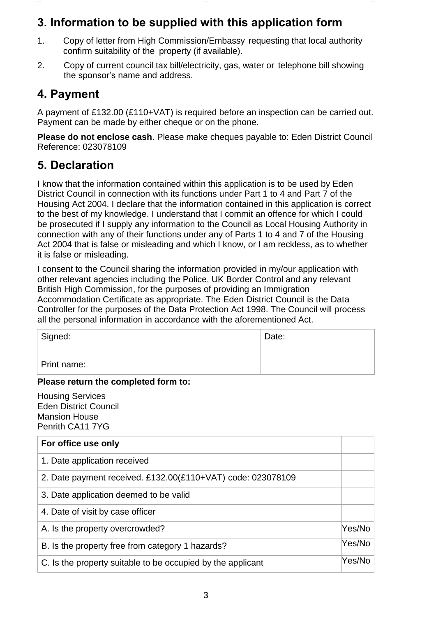### **3. Information to be supplied with this application form**

- 1. Copy of letter from High Commission/Embassy requesting that local authority confirm suitability of the property (if available).
- 2. Copy of current council tax bill/electricity, gas, water or telephone bill showing the sponsor's name and address.

#### **4. Payment**

A payment of £132.00 (£110+VAT) is required before an inspection can be carried out. Payment can be made by either cheque or on the phone.

**Please do not enclose cash**. Please make cheques payable to: Eden District Council Reference: 023078109

### **5. Declaration**

I know that the information contained within this application is to be used by Eden District Council in connection with its functions under Part 1 to 4 and Part 7 of the Housing Act 2004. I declare that the information contained in this application is correct to the best of my knowledge. I understand that I commit an offence for which I could be prosecuted if I supply any information to the Council as Local Housing Authority in connection with any of their functions under any of Parts 1 to 4 and 7 of the Housing Act 2004 that is false or misleading and which I know, or I am reckless, as to whether it is false or misleading.

I consent to the Council sharing the information provided in my/our application with other relevant agencies including the Police, UK Border Control and any relevant British High Commission, for the purposes of providing an Immigration Accommodation Certificate as appropriate. The Eden District Council is the Data Controller for the purposes of the Data Protection Act 1998. The Council will process all the personal information in accordance with the aforementioned Act.

| Signed:     | Date: |
|-------------|-------|
| Print name: |       |

#### **Please return the completed form to:**

Housing Services Eden District Council Mansion House Penrith CA11 7YG

| For office use only                                         |        |
|-------------------------------------------------------------|--------|
| 1. Date application received                                |        |
| 2. Date payment received. £132.00(£110+VAT) code: 023078109 |        |
| 3. Date application deemed to be valid                      |        |
| 4. Date of visit by case officer                            |        |
| A. Is the property overcrowded?                             | Yes/No |
| B. Is the property free from category 1 hazards?            | Yes/No |
| C. Is the property suitable to be occupied by the applicant | Yes/No |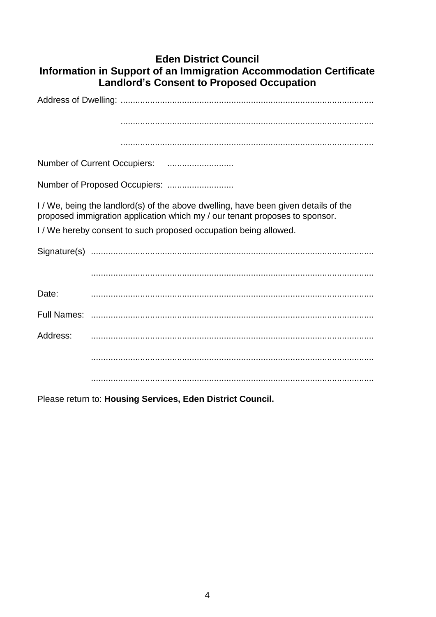#### **Eden District Council** Information in Support of an Immigration Accommodation Certificate Landlord's Consent to Proposed Occupation

|          | I/We, being the landlord(s) of the above dwelling, have been given details of the<br>proposed immigration application which my / our tenant proposes to sponsor. |
|----------|------------------------------------------------------------------------------------------------------------------------------------------------------------------|
|          | I / We hereby consent to such proposed occupation being allowed.                                                                                                 |
|          |                                                                                                                                                                  |
|          |                                                                                                                                                                  |
| Date:    |                                                                                                                                                                  |
|          |                                                                                                                                                                  |
| Address: |                                                                                                                                                                  |
|          |                                                                                                                                                                  |
|          |                                                                                                                                                                  |

Please return to: Housing Services, Eden District Council.